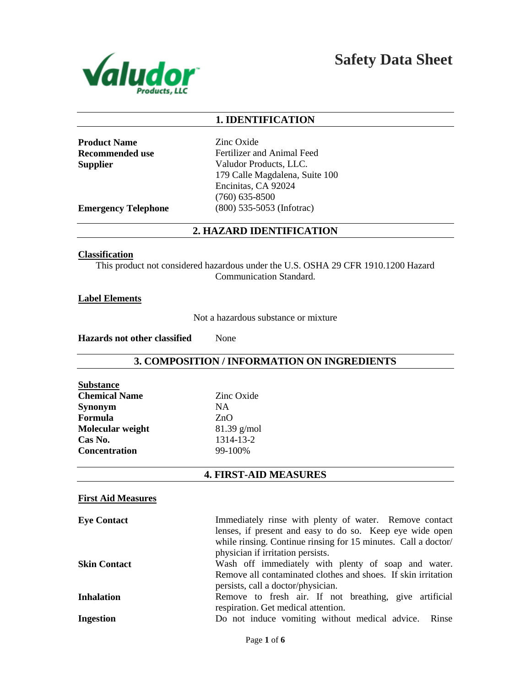

**Safety Data Sheet**

## **1. IDENTIFICATION**

**Product Name** Zinc Oxide

**Recommended use** Fertilizer and Animal Feed **Supplier** Valudor Products, LLC. 179 Calle Magdalena, Suite 100 Encinitas, CA 92024 (760) 635-8500 **Emergency Telephone** (800) 535-5053 (Infotrac)

#### **2. HAZARD IDENTIFICATION**

#### **Classification**

This product not considered hazardous under the U.S. OSHA 29 CFR 1910.1200 Hazard Communication Standard.

**Label Elements**

Not a hazardous substance or mixture

**Hazards not other classified** None

### **3. COMPOSITION / INFORMATION ON INGREDIENTS**

| <b>Substance</b>     |               |
|----------------------|---------------|
| <b>Chemical Name</b> | Zinc Oxide    |
| <b>Synonym</b>       | NA.           |
| Formula              | ZnO           |
| Molecular weight     | $81.39$ g/mol |
| Cas No.              | 1314-13-2     |
| <b>Concentration</b> | 99-100%       |

# **4. FIRST-AID MEASURES**

#### **First Aid Measures**

| <b>Eye Contact</b>  | Immediately rinse with plenty of water. Remove contact         |
|---------------------|----------------------------------------------------------------|
|                     | lenses, if present and easy to do so. Keep eye wide open       |
|                     | while rinsing. Continue rinsing for 15 minutes. Call a doctor/ |
|                     | physician if irritation persists.                              |
| <b>Skin Contact</b> | Wash off immediately with plenty of soap and water.            |
|                     | Remove all contaminated clothes and shoes. If skin irritation  |
|                     | persists, call a doctor/physician.                             |
| <b>Inhalation</b>   | Remove to fresh air. If not breathing, give artificial         |
|                     | respiration. Get medical attention.                            |
| <b>Ingestion</b>    | Do not induce vomiting without medical advice. Rinse           |
|                     |                                                                |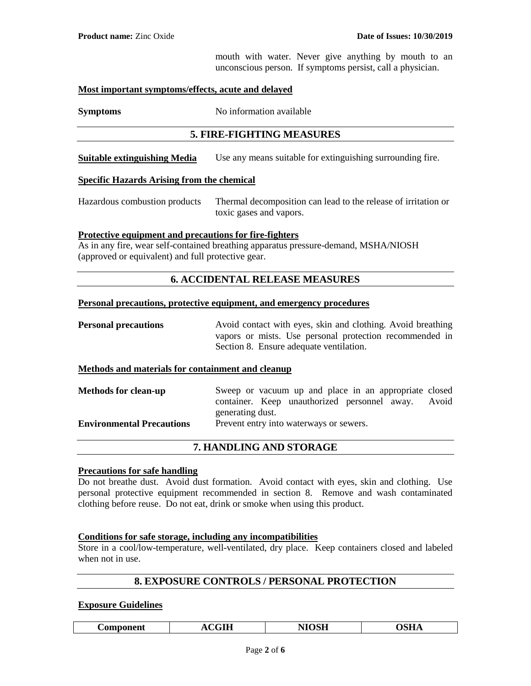mouth with water. Never give anything by mouth to an unconscious person. If symptoms persist, call a physician.

#### **Most important symptoms/effects, acute and delayed**

**Symptoms** No information available

## **5. FIRE-FIGHTING MEASURES**

**Suitable extinguishing Media** Use any means suitable for extinguishing surrounding fire.

#### **Specific Hazards Arising from the chemical**

Hazardous combustion products Thermal decomposition can lead to the release of irritation or toxic gases and vapors.

#### **Protective equipment and precautions for fire-fighters**

As in any fire, wear self-contained breathing apparatus pressure-demand, MSHA/NIOSH (approved or equivalent) and full protective gear.

## **6. ACCIDENTAL RELEASE MEASURES**

#### **Personal precautions, protective equipment, and emergency procedures**

**Personal precautions** Avoid contact with eyes, skin and clothing. Avoid breathing vapors or mists. Use personal protection recommended in Section 8. Ensure adequate ventilation.

#### **Methods and materials for containment and cleanup**

| container. Keep unauthorized personnel away. | Avoid                                                 |
|----------------------------------------------|-------------------------------------------------------|
| generating dust.                             |                                                       |
| Prevent entry into waterways or sewers.      |                                                       |
|                                              | Sweep or vacuum up and place in an appropriate closed |

## **7. HANDLING AND STORAGE**

#### **Precautions for safe handling**

Do not breathe dust. Avoid dust formation. Avoid contact with eyes, skin and clothing. Use personal protective equipment recommended in section 8. Remove and wash contaminated clothing before reuse. Do not eat, drink or smoke when using this product.

#### **Conditions for safe storage, including any incompatibilities**

Store in a cool/low-temperature, well-ventilated, dry place. Keep containers closed and labeled when not in use.

## **8. EXPOSURE CONTROLS / PERSONAL PROTECTION**

#### **Exposure Guidelines**

| Component | <b>ACGIH</b> | NIOSH | <b>OSHA</b> |
|-----------|--------------|-------|-------------|
|-----------|--------------|-------|-------------|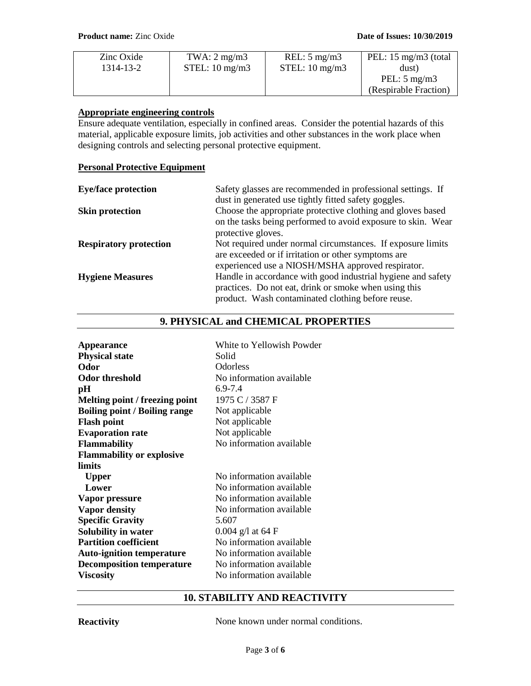| Zinc Oxide | TWA: $2 \text{ mg/m}$ 3 | REL: $5 \text{ mg/m}$ | PEL: 15 mg/m3 (total    |
|------------|-------------------------|-----------------------|-------------------------|
| 1314-13-2  | STEL: 10 mg/m3          | STEL: 10 mg/m3        | dust)                   |
|            |                         |                       | PEL: $5 \text{ mg/m}$ 3 |
|            |                         |                       | (Respirable Fraction)   |

## **Appropriate engineering controls**

Ensure adequate ventilation, especially in confined areas. Consider the potential hazards of this material, applicable exposure limits, job activities and other substances in the work place when designing controls and selecting personal protective equipment.

## **Personal Protective Equipment**

| <b>Eye/face protection</b>    | Safety glasses are recommended in professional settings. If                        |  |
|-------------------------------|------------------------------------------------------------------------------------|--|
|                               | dust in generated use tightly fitted safety goggles.                               |  |
| <b>Skin protection</b>        | Choose the appropriate protective clothing and gloves based                        |  |
|                               | on the tasks being performed to avoid exposure to skin. Wear<br>protective gloves. |  |
| <b>Respiratory protection</b> | Not required under normal circumstances. If exposure limits                        |  |
|                               | are exceeded or if irritation or other symptoms are                                |  |
|                               | experienced use a NIOSH/MSHA approved respirator.                                  |  |
| <b>Hygiene Measures</b>       | Handle in accordance with good industrial hygiene and safety                       |  |
|                               | practices. Do not eat, drink or smoke when using this                              |  |
|                               | product. Wash contaminated clothing before reuse.                                  |  |

## **9. PHYSICAL and CHEMICAL PROPERTIES**

| <b>Appearance</b>                    | White to Yellowish Powder |
|--------------------------------------|---------------------------|
| <b>Physical state</b>                | Solid                     |
| Odor                                 | <b>Odorless</b>           |
| <b>Odor threshold</b>                | No information available  |
| pН                                   | 6.9-7.4                   |
| Melting point / freezing point       | 1975 C / 3587 F           |
| <b>Boiling point / Boiling range</b> | Not applicable            |
| <b>Flash point</b>                   | Not applicable            |
| <b>Evaporation rate</b>              | Not applicable            |
| <b>Flammability</b>                  | No information available  |
| <b>Flammability or explosive</b>     |                           |
| limits                               |                           |
| <b>Upper</b>                         | No information available  |
| Lower                                | No information available  |
| Vapor pressure                       | No information available  |
| <b>Vapor density</b>                 | No information available  |
| <b>Specific Gravity</b>              | 5.607                     |
| Solubility in water                  | $0.004$ g/l at 64 F       |
| <b>Partition coefficient</b>         | No information available  |
| <b>Auto-ignition temperature</b>     | No information available  |
| <b>Decomposition temperature</b>     | No information available  |
| <b>Viscosity</b>                     | No information available  |
|                                      |                           |

## **10. STABILITY AND REACTIVITY**

**Reactivity** None known under normal conditions.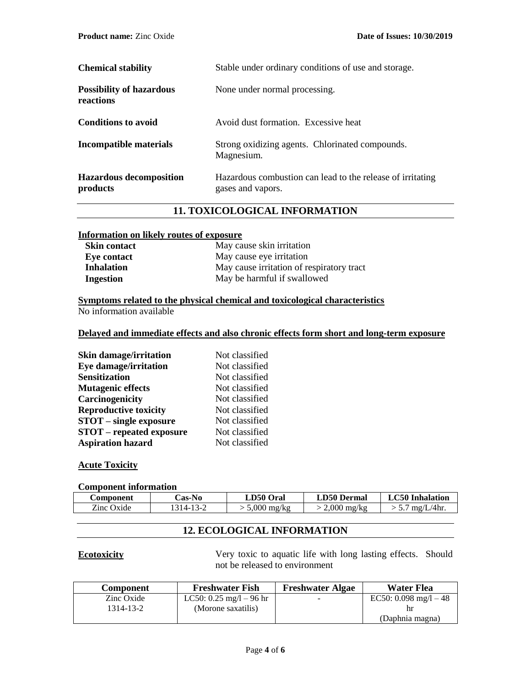| <b>Chemical stability</b>                    | Stable under ordinary conditions of use and storage.                            |  |
|----------------------------------------------|---------------------------------------------------------------------------------|--|
| <b>Possibility of hazardous</b><br>reactions | None under normal processing.                                                   |  |
| <b>Conditions to avoid</b>                   | Avoid dust formation. Excessive heat                                            |  |
| Incompatible materials                       | Strong oxidizing agents. Chlorinated compounds.<br>Magnesium.                   |  |
| <b>Hazardous decomposition</b><br>products   | Hazardous combustion can lead to the release of irritating<br>gases and vapors. |  |

## **11. TOXICOLOGICAL INFORMATION**

## **Information on likely routes of exposure**

| <b>Skin contact</b> | May cause skin irritation                 |
|---------------------|-------------------------------------------|
| Eye contact         | May cause eye irritation                  |
| <b>Inhalation</b>   | May cause irritation of respiratory tract |
| Ingestion           | May be harmful if swallowed               |

### **Symptoms related to the physical chemical and toxicological characteristics** No information available

## **Delayed and immediate effects and also chronic effects form short and long-term exposure**

| Not classified |
|----------------|
| Not classified |
| Not classified |
| Not classified |
| Not classified |
| Not classified |
| Not classified |
| Not classified |
| Not classified |
|                |

## **Acute Toxicity**

### **Component information**

| <b>Component</b> | <b>Cas-No</b> | <b>LD50 Oral</b> | <b>LD50 Dermal</b>    | <b>LC50</b> Inhalation |
|------------------|---------------|------------------|-----------------------|------------------------|
| Zinc Oxide       | 314-13-2      | $5,000$ mg/kg    | $2,000 \text{ mg/kg}$ | ' mg/L/4hr.<br>ו . נ   |

## **12. ECOLOGICAL INFORMATION**

**Ecotoxicity** Very toxic to aquatic life with long lasting effects. Should not be released to environment

| <b>Component</b> | <b>Freshwater Fish</b>                    | <b>Freshwater Algae</b> | Water Flea             |
|------------------|-------------------------------------------|-------------------------|------------------------|
| Zinc Oxide       | LC50: $0.25 \text{ mg/l} - 96 \text{ hr}$ |                         | EC50: 0.098 mg/l $-48$ |
| 1314-13-2        | (Morone saxatilis)                        |                         |                        |
|                  |                                           |                         | (Daphnia magna)        |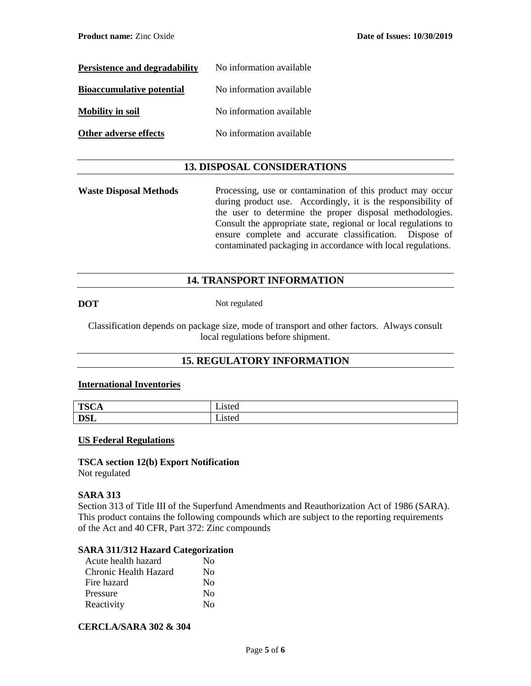| Persistence and degradability    | No information available |
|----------------------------------|--------------------------|
| <b>Bioaccumulative potential</b> | No information available |
| <b>Mobility in soil</b>          | No information available |
| Other adverse effects            | No information available |

## **13. DISPOSAL CONSIDERATIONS**

**Waste Disposal Methods** Processing, use or contamination of this product may occur during product use. Accordingly, it is the responsibility of the user to determine the proper disposal methodologies. Consult the appropriate state, regional or local regulations to ensure complete and accurate classification. Dispose of contaminated packaging in accordance with local regulations.

## **14. TRANSPORT INFORMATION**

**DOT** Not regulated

Classification depends on package size, mode of transport and other factors. Always consult local regulations before shipment.

## **15. REGULATORY INFORMATION**

#### **International Inventories**

| TCC        | . .    |
|------------|--------|
| TOCH       | Listed |
| <b>DCI</b> | . .    |
| <b>DOL</b> | Listed |

#### **US Federal Regulations**

**TSCA section 12(b) Export Notification** Not regulated

#### **SARA 313**

Section 313 of Title III of the Superfund Amendments and Reauthorization Act of 1986 (SARA). This product contains the following compounds which are subject to the reporting requirements of the Act and 40 CFR, Part 372: Zinc compounds

#### **SARA 311/312 Hazard Categorization**

| Acute health hazard   | No                      |
|-----------------------|-------------------------|
| Chronic Health Hazard | No                      |
| Fire hazard           | No                      |
| Pressure              | No                      |
| Reactivity            | $\overline{N}_{\Omega}$ |

## **CERCLA/SARA 302 & 304**